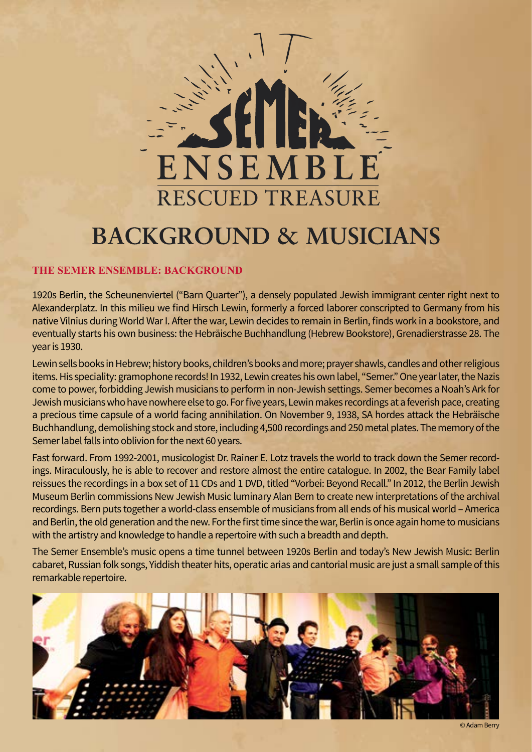

# **BACKGROUND & MUSICIANS**

## **The Semer Ensemble: Background**

1920s Berlin, the Scheunenviertel ("Barn Quarter"), a densely populated Jewish immigrant center right next to Alexanderplatz. In this milieu we find Hirsch Lewin, formerly a forced laborer conscripted to Germany from his native Vilnius during World War I. After the war, Lewin decides to remain in Berlin, finds work in a bookstore, and eventually starts his own business: the Hebräische Buchhandlung (Hebrew Bookstore), Grenadierstrasse 28. The year is 1930.

Lewin sells books in Hebrew; history books, children's books and more; prayer shawls, candles and other religious items. His speciality: gramophone records! In 1932, Lewin creates his own label, "Semer." One year later, the Nazis come to power, forbidding Jewish musicians to perform in non-Jewish settings. Semer becomes a Noah's Ark for Jewish musicians who have nowhere else to go. For five years, Lewin makes recordings at a feverish pace, creating a precious time capsule of a world facing annihilation. On November 9, 1938, SA hordes attack the Hebräische Buchhandlung, demolishing stock and store, including 4,500 recordings and 250 metal plates. The memory of the Semer label falls into oblivion for the next 60 years.

Fast forward. From 1992-2001, musicologist Dr. Rainer E. Lotz travels the world to track down the Semer recordings. Miraculously, he is able to recover and restore almost the entire catalogue. In 2002, the Bear Family label reissues the recordings in a box set of 11 CDs and 1 DVD, titled "Vorbei: Beyond Recall." In 2012, the Berlin Jewish Museum Berlin commissions New Jewish Music luminary Alan Bern to create new interpretations of the archival recordings. Bern puts together a world-class ensemble of musicians from all ends of his musical world – America and Berlin, the old generation and the new. For the first time since the war, Berlin is once again home to musicians with the artistry and knowledge to handle a repertoire with such a breadth and depth.

The Semer Ensemble's music opens a time tunnel between 1920s Berlin and today's New Jewish Music: Berlin cabaret, Russian folk songs, Yiddish theater hits, operatic arias and cantorial music are just a small sample of this remarkable repertoire.

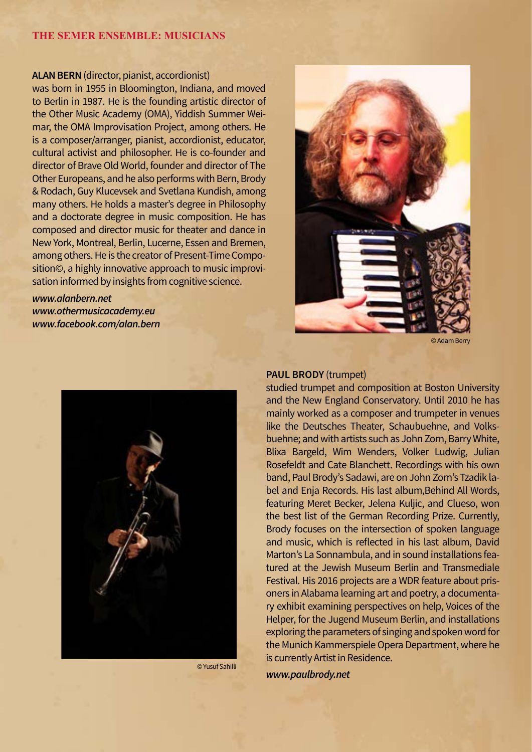#### **Alan Bern** (director, pianist, accordionist)

was born in 1955 in Bloomington, Indiana, and moved to Berlin in 1987. He is the founding artistic director of the Other Music Academy (OMA), Yiddish Summer Weimar, the OMA Improvisation Project, among others. He is a composer/arranger, pianist, accordionist, educator, cultural activist and philosopher. He is co-founder and director of Brave Old World, founder and director of The Other Europeans, and he also performs with Bern, Brody & Rodach, Guy Klucevsek and Svetlana Kundish, among many others. He holds a master's degree in Philosophy and a doctorate degree in music composition. He has composed and director music for theater and dance in New York, Montreal, Berlin, Lucerne, Essen and Bremen, among others. He is the creator of Present-Time Composition©, a highly innovative approach to music improvisation informed by insights from cognitive science.

*www.alanbern.net www.othermusicacademy.eu www.facebook.com/alan.bern*



© Yusuf Sahilli



#### © Adam Berry

#### **Paul Brody** (trumpet)

studied trumpet and composition at Boston University and the New England Conservatory. Until 2010 he has mainly worked as a composer and trumpeter in venues like the Deutsches Theater, Schaubuehne, and Volksbuehne; and with artists such as John Zorn, Barry White, Blixa Bargeld, Wim Wenders, Volker Ludwig, Julian Rosefeldt and Cate Blanchett. Recordings with his own band, Paul Brody's Sadawi, are on John Zorn's Tzadik label and Enja Records. His last album,Behind All Words, featuring Meret Becker, Jelena Kuljic, and Clueso, won the best list of the German Recording Prize. Currently, Brody focuses on the intersection of spoken language and music, which is reflected in his last album, David Marton's La Sonnambula, and in sound installations featured at the Jewish Museum Berlin and Transmediale Festival. His 2016 projects are a WDR feature about prisoners in Alabama learning art and poetry, a documentary exhibit examining perspectives on help, Voices of the Helper, for the Jugend Museum Berlin, and installations exploring the parameters of singing and spoken word for the Munich Kammerspiele Opera Department, where he is currently Artist in Residence.

*www.paulbrody.net*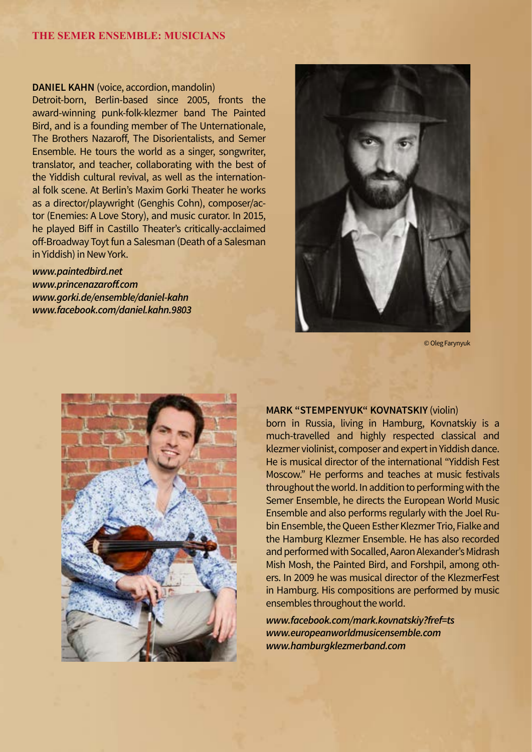#### **DANIEL KAHN** (voice, accordion, mandolin)

Detroit-born, Berlin-based since 2005, fronts the award-winning punk-folk-klezmer band The Painted Bird, and is a founding member of The Unternationale, The Brothers Nazaroff, The Disorientalists, and Semer Ensemble. He tours the world as a singer, songwriter, translator, and teacher, collaborating with the best of the Yiddish cultural revival, as well as the international folk scene. At Berlin's Maxim Gorki Theater he works as a director/playwright (Genghis Cohn), composer/actor (Enemies: A Love Story), and music curator. In 2015, he played Biff in Castillo Theater's critically-acclaimed off-Broadway Toyt fun a Salesman (Death of a Salesman in Yiddish) in New York.

*www.paintedbird.net www.princenazaroff.com www.gorki.de/ensemble/daniel-kahn www.facebook.com/daniel.kahn.9803*



© Oleg Farynyuk



#### **Mark "Stempenyuk" Kovnatskiy** (violin)

born in Russia, living in Hamburg, Kovnatskiy is a much-travelled and highly respected classical and klezmer violinist, composer and expert in Yiddish dance. He is musical director of the international "Yiddish Fest Moscow." He performs and teaches at music festivals throughout the world. In addition to performing with the Semer Ensemble, he directs the European World Music Ensemble and also performs regularly with the Joel Rubin Ensemble, the Queen Esther Klezmer Trio, Fialke and the Hamburg Klezmer Ensemble. He has also recorded and performed with Socalled, Aaron Alexander's Midrash Mish Mosh, the Painted Bird, and Forshpil, among others. In 2009 he was musical director of the KlezmerFest in Hamburg. His compositions are performed by music ensembles throughout the world.

*www.facebook.com/mark.kovnatskiy?fref=ts www.europeanworldmusicensemble.com www.hamburgklezmerband.com*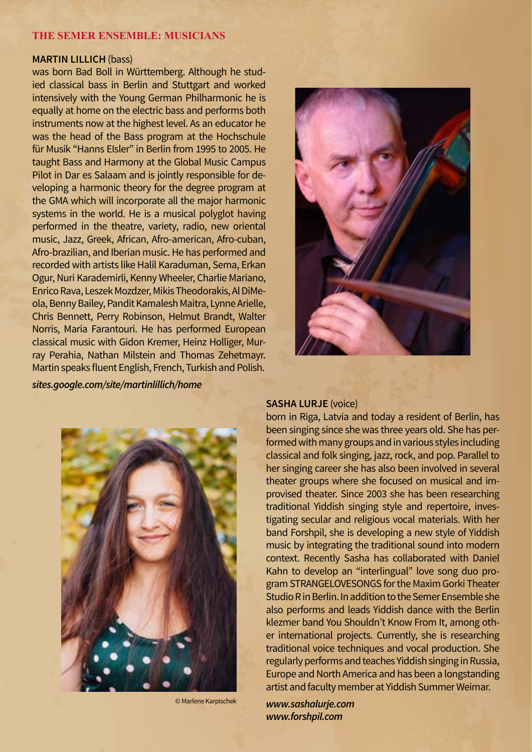## **Martin Lillich** (bass)

was born Bad Boll in Württemberg. Although he studied classical bass in Berlin and Stuttgart and worked intensively with the Young German Philharmonic he is equally at home on the electric bass and performs both instruments now at the highest level. As an educator he was the head of the Bass program at the Hochschule für Musik "Hanns EIsler" in Berlin from 1995 to 2005. He taught Bass and Harmony at the Global Music Campus Pilot in Dar es Salaam and is jointly responsible for developing a harmonic theory for the degree program at the GMA which will incorporate all the major harmonic systems in the world. He is a musical polyglot having performed in the theatre, variety, radio, new oriental music, Jazz, Greek, African, Afro-american, Afro-cuban, Afro-brazilian, and Iberian music. He has performed and recorded with artists like Halil Karaduman, Sema, Erkan Ogur, Nuri Karademirli, Kenny Wheeler, Charlie Mariano, Enrico Rava, Leszek Mozdzer, Mikis Theodorakis, Al DiMeola, Benny Bailey, Pandit Kamalesh Maitra, Lynne Arielle, Chris Bennett, Perry Robinson, Helmut Brandt, Walter Norris, Maria Farantouri. He has performed European classical music with Gidon Kremer, Heinz Holliger, Murray Perahia, Nathan Milstein and Thomas Zehetmayr. Martin speaks fluent English, French, Turkish and Polish.

*sites.google.com/site/martinlillich/home*



© Marlene Karpischek



## **Sasha Lurje** (voice)

born in Riga, Latvia and today a resident of Berlin, has been singing since she was three years old. She has performed with many groups and in various styles including classical and folk singing, jazz, rock, and pop. Parallel to her singing career she has also been involved in several theater groups where she focused on musical and improvised theater. Since 2003 she has been researching traditional Yiddish singing style and repertoire, investigating secular and religious vocal materials. With her band Forshpil, she is developing a new style of Yiddish music by integrating the traditional sound into modern context. Recently Sasha has collaborated with Daniel Kahn to develop an "interlingual" love song duo program STRANGELOVESONGS for the Maxim Gorki Theater Studio R in Berlin. In addition to the Semer Ensemble she also performs and leads Yiddish dance with the Berlin klezmer band You Shouldn't Know From It, among other international projects. Currently, she is researching traditional voice techniques and vocal production. She regularly performs and teaches Yiddish singing in Russia, Europe and North America and has been a longstanding artist and faculty member at Yiddish Summer Weimar.

*www.sashalurje.com www.forshpil.com*